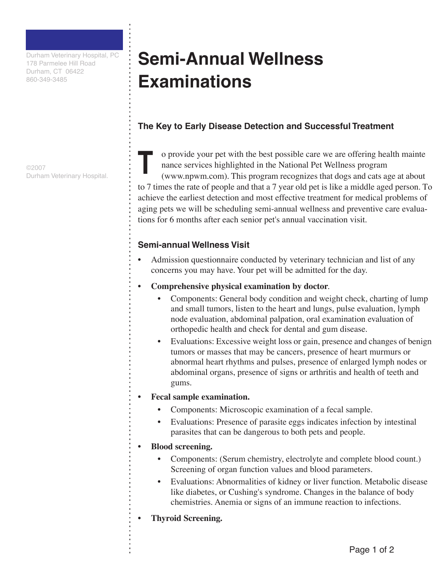Durham Veterinary Hospital, PC 178 Parmelee Hill Road Durham, CT 06422 860-349-3485

©2007 Durham Veterinary Hospital.

# **Semi-Annual Wellness Examinations**

## **The Key to Early Disease Detection and Successful Treatment**

o provide your pet with the best possible care we are offering health mainte nance services highlighted in the National Pet Wellness program (www.npwm.com). This program recognizes that dogs and cats age at about to 7 times the rate of people and that a 7 year old pet is like a middle aged person. To achieve the earliest detection and most effective treatment for medical problems of aging pets we will be scheduling semi-annual wellness and preventive care evaluations for 6 months after each senior pet's annual vaccination visit. **T**

### **Semi-annual Wellness Visit**

- Admission questionnaire conducted by veterinary technician and list of any concerns you may have. Your pet will be admitted for the day.
- **Comprehensive physical examination by doctor**.
	- Components: General body condition and weight check, charting of lump and small tumors, listen to the heart and lungs, pulse evaluation, lymph node evaluation, abdominal palpation, oral examination evaluation of orthopedic health and check for dental and gum disease.
	- Evaluations: Excessive weight loss or gain, presence and changes of benign tumors or masses that may be cancers, presence of heart murmurs or abnormal heart rhythms and pulses, presence of enlarged lymph nodes or abdominal organs, presence of signs or arthritis and health of teeth and gums.

#### **• Fecal sample examination.**

- Components: Microscopic examination of a fecal sample.
- Evaluations: Presence of parasite eggs indicates infection by intestinal parasites that can be dangerous to both pets and people.

#### **• Blood screening.**

- Components: (Serum chemistry, electrolyte and complete blood count.) Screening of organ function values and blood parameters.
- Evaluations: Abnormalities of kidney or liver function. Metabolic disease like diabetes, or Cushing's syndrome. Changes in the balance of body chemistries. Anemia or signs of an immune reaction to infections.
- **• Thyroid Screening.**